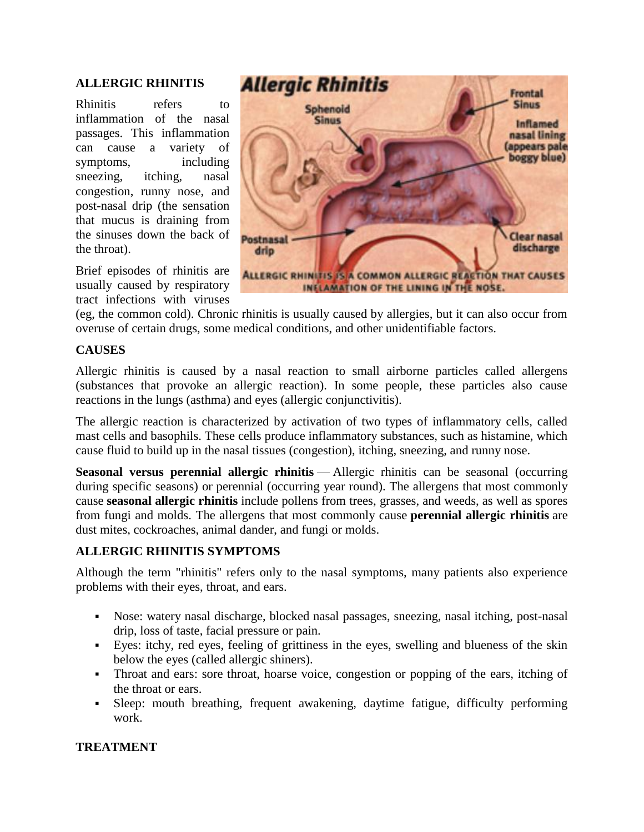## **ALLERGIC RHINITIS**

Rhinitis refers to inflammation of the nasal passages. This inflammation can cause a variety of symptoms, including sneezing, itching, nasal congestion, runny nose, and post-nasal drip (the sensation that mucus is draining from the sinuses down the back of the throat).

Brief episodes of rhinitis are usually caused by respiratory tract infections with viruses



(eg, the common cold). Chronic rhinitis is usually caused by allergies, but it can also occur from overuse of certain drugs, some medical conditions, and other unidentifiable factors.

## **CAUSES**

Allergic rhinitis is caused by a nasal reaction to small airborne particles called allergens (substances that provoke an allergic reaction). In some people, these particles also cause reactions in the lungs (asthma) and eyes (allergic conjunctivitis).

The allergic reaction is characterized by activation of two types of inflammatory cells, called mast cells and basophils. These cells produce inflammatory substances, such as histamine, which cause fluid to build up in the nasal tissues (congestion), itching, sneezing, and runny nose.

**Seasonal versus perennial allergic rhinitis** — Allergic rhinitis can be seasonal (occurring during specific seasons) or perennial (occurring year round). The allergens that most commonly cause **seasonal allergic rhinitis** include pollens from trees, grasses, and weeds, as well as spores from fungi and molds. The allergens that most commonly cause **perennial allergic rhinitis** are dust mites, cockroaches, animal dander, and fungi or molds.

## **ALLERGIC RHINITIS SYMPTOMS**

Although the term "rhinitis" refers only to the nasal symptoms, many patients also experience problems with their eyes, throat, and ears.

- Nose: watery nasal discharge, blocked nasal passages, sneezing, nasal itching, post-nasal drip, loss of taste, facial pressure or pain.
- Eyes: itchy, red eyes, feeling of grittiness in the eyes, swelling and blueness of the skin below the eyes (called allergic shiners).
- Throat and ears: sore throat, hoarse voice, congestion or popping of the ears, itching of the throat or ears.
- Sleep: mouth breathing, frequent awakening, daytime fatigue, difficulty performing work.

## **TREATMENT**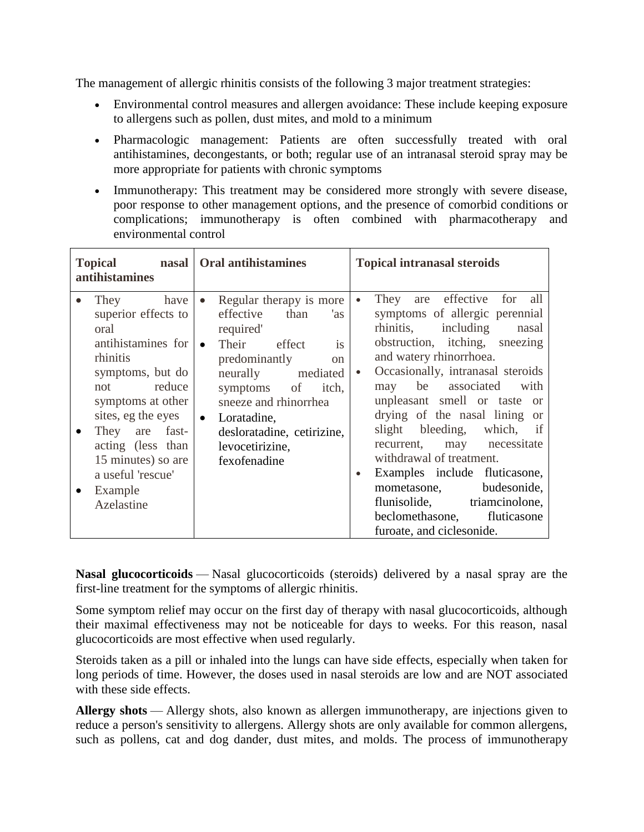The management of allergic rhinitis consists of the following 3 major treatment strategies:

- Environmental control measures and allergen avoidance: These include keeping exposure to allergens such as pollen, dust mites, and mold to a minimum
- Pharmacologic management: Patients are often successfully treated with oral antihistamines, decongestants, or both; regular use of an intranasal steroid spray may be more appropriate for patients with chronic symptoms
- Immunotherapy: This treatment may be considered more strongly with severe disease, poor response to other management options, and the presence of comorbid conditions or complications; immunotherapy is often combined with pharmacotherapy and environmental control

| <b>Topical</b><br>nasal<br>antihistamines                                                                                                                                                                                                                                                                    | <b>Oral antihistamines</b>                                                                                                                                                                                                                                                                                            | <b>Topical intranasal steroids</b>                                                                                                                                                                                                                                                                                                                                                                                                                                                                                                                                 |
|--------------------------------------------------------------------------------------------------------------------------------------------------------------------------------------------------------------------------------------------------------------------------------------------------------------|-----------------------------------------------------------------------------------------------------------------------------------------------------------------------------------------------------------------------------------------------------------------------------------------------------------------------|--------------------------------------------------------------------------------------------------------------------------------------------------------------------------------------------------------------------------------------------------------------------------------------------------------------------------------------------------------------------------------------------------------------------------------------------------------------------------------------------------------------------------------------------------------------------|
| have<br>They<br>$\bullet$<br>superior effects to<br>oral<br>antihistamines for<br>rhinitis<br>symptoms, but do<br>not reduce<br>symptoms at other<br>sites, eg the eyes<br>They are fast-<br>$\bullet$<br>acting (less than<br>15 minutes) so are<br>a useful 'rescue'<br>Example<br>$\bullet$<br>Azelastine | Regular therapy is more<br>$\bullet$<br>than<br>effective<br>'as<br>required'<br>Their effect<br>is<br>$\bullet$<br>predominantly<br><sub>on</sub><br>neurally mediated<br>symptoms of<br>itch,<br>sneeze and rhinorrhea<br>Loratadine,<br>$\bullet$<br>desloratadine, cetirizine,<br>levocetirizine,<br>fexofenadine | are effective for all<br>They<br>$\bullet$<br>symptoms of allergic perennial<br>rhinitis, including nasal<br>obstruction, itching, sneezing<br>and watery rhinorrhoea.<br>Occasionally, intranasal steroids<br>may be associated with<br>unpleasant smell or taste or<br>drying of the nasal lining or<br>slight bleeding, which, if<br>recurrent, may necessitate<br>withdrawal of treatment.<br>Examples include fluticasone,<br>$\bullet$<br>mometasone, budesonide,<br>flunisolide, triamcinolone,<br>beclomethasone, fluticasone<br>furoate, and ciclesonide. |

**Nasal glucocorticoids** — Nasal glucocorticoids (steroids) delivered by a nasal spray are the first-line treatment for the symptoms of allergic rhinitis.

Some symptom relief may occur on the first day of therapy with nasal glucocorticoids, although their maximal effectiveness may not be noticeable for days to weeks. For this reason, nasal glucocorticoids are most effective when used regularly.

Steroids taken as a pill or inhaled into the lungs can have side effects, especially when taken for long periods of time. However, the doses used in nasal steroids are low and are NOT associated with these side effects.

**Allergy shots** — Allergy shots, also known as allergen immunotherapy, are injections given to reduce a person's sensitivity to allergens. Allergy shots are only available for common allergens, such as pollens, cat and dog dander, dust mites, and molds. The process of immunotherapy